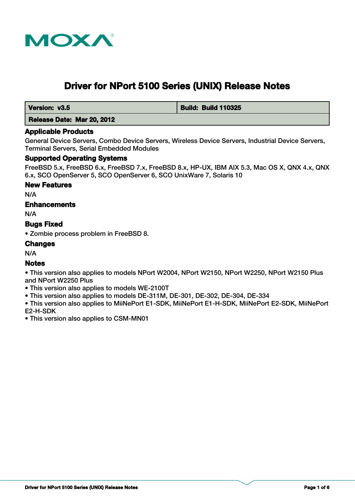

# **Driver for NPort 5100 Series (UNIX) Release Notes**

 **Version: v3.5 Build: Build: Build 110325** 

 **Release Date: Mar 20, 2012**

# **Applicable Products**

General Device Servers, Combo Device Servers, Wireless Device Servers, Industrial Device Servers, Terminal Servers, Serial Embedded Modules

# **Supported Operating Systems**

FreeBSD 5.x, FreeBSD 6.x, FreeBSD 7.x, FreeBSD 8.x, HP-UX, IBM AIX 5.3, Mac OS X, QNX 4.x, QNX 6.x, SCO OpenServer 5, SCO OpenServer 6, SCO UnixWare 7, Solaris 10

# **New Features**

N/A

# **Enhancements**

N/A

# **Bugs Fixed**

• Zombie process problem in FreeBSD 8.

# **Changes**

N/A

# **Notes**

• This version also applies to models NPort W2004, NPort W2150, NPort W2250, NPort W2150 Plus and NPort W2250 Plus

- This version also applies to models WE-2100T
- This version also applies to models DE-311M, DE-301, DE-302, DE-304, DE-334

• This version also applies to MiiNePort E1-SDK, MiiNePort E1-H-SDK, MiiNePort E2-SDK, MiiNePort E2-H-SDK

• This version also applies to CSM-MN01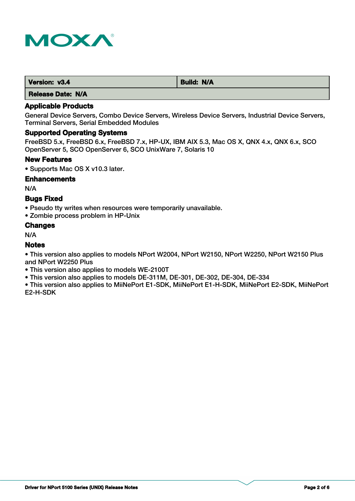

| Version: v3.4 | <b>Build: N/A</b> |
|---------------|-------------------|
|               |                   |

 **Release Date: N/A**

# **Applicable Products**

General Device Servers, Combo Device Servers, Wireless Device Servers, Industrial Device Servers, Terminal Servers, Serial Embedded Modules

## **Supported Operating Systems**

FreeBSD 5.x, FreeBSD 6.x, FreeBSD 7.x, HP-UX, IBM AIX 5.3, Mac OS X, QNX 4.x, QNX 6.x, SCO OpenServer 5, SCO OpenServer 6, SCO UnixWare 7, Solaris 10

#### **New Features**

• Supports Mac OS X v10.3 later.

#### **Enhancements**

N/A

# **Bugs Fixed**

• Pseudo tty writes when resources were temporarily unavailable.

• Zombie process problem in HP-Unix

# **Changes**

N/A

# **Notes**

• This version also applies to models NPort W2004, NPort W2150, NPort W2250, NPort W2150 Plus and NPort W2250 Plus

- This version also applies to models WE-2100T
- This version also applies to models DE-311M, DE-301, DE-302, DE-304, DE-334

• This version also applies to MiiNePort E1-SDK, MiiNePort E1-H-SDK, MiiNePort E2-SDK, MiiNePort E2-H-SDK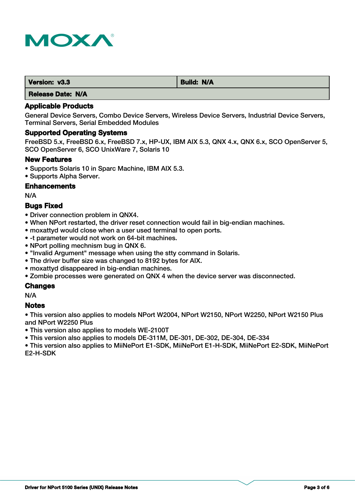

| Version: v3.3 | Build: N/A |
|---------------|------------|
| .             |            |

 **Release Date: N/A**

# **Applicable Products**

General Device Servers, Combo Device Servers, Wireless Device Servers, Industrial Device Servers, Terminal Servers, Serial Embedded Modules

# **Supported Operating Systems**

FreeBSD 5.x, FreeBSD 6.x, FreeBSD 7.x, HP-UX, IBM AIX 5.3, QNX 4.x, QNX 6.x, SCO OpenServer 5, SCO OpenServer 6, SCO UnixWare 7, Solaris 10

# **New Features**

- Supports Solaris 10 in Sparc Machine, IBM AIX 5.3.
- Supports Alpha Server.

# **Enhancements**

N/A

# **Bugs Fixed**

- Driver connection problem in QNX4.
- When NPort restarted, the driver reset connection would fail in big-endian machines.
- moxattyd would close when a user used terminal to open ports.
- -t parameter would not work on 64-bit machines.
- NPort polling mechnism bug in QNX 6.
- "Invalid Argument" message when using the stty command in Solaris.
- The driver buffer size was changed to 8192 bytes for AIX.
- moxattyd disappeared in big-endian machines.
- Zombie processes were generated on QNX 4 when the device server was disconnected.

# **Changes**

N/A

# **Notes**

• This version also applies to models NPort W2004, NPort W2150, NPort W2250, NPort W2150 Plus and NPort W2250 Plus

• This version also applies to models WE-2100T

• This version also applies to models DE-311M, DE-301, DE-302, DE-304, DE-334

• This version also applies to MiiNePort E1-SDK, MiiNePort E1-H-SDK, MiiNePort E2-SDK, MiiNePort E2-H-SDK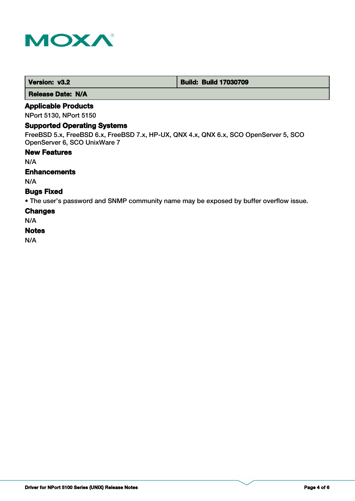

 **Release Date: N/A**

# **Applicable Products**

NPort 5130, NPort 5150

## **Supported Operating Systems**

FreeBSD 5.x, FreeBSD 6.x, FreeBSD 7.x, HP-UX, QNX 4.x, QNX 6.x, SCO OpenServer 5, SCO OpenServer 6, SCO UnixWare 7

#### **New Features**

N/A

# **Enhancements**

N/A

# **Bugs Fixed**

• The user's password and SNMP community name may be exposed by buffer overflow issue.

#### **Changes**

N/A

## **Notes**

N/A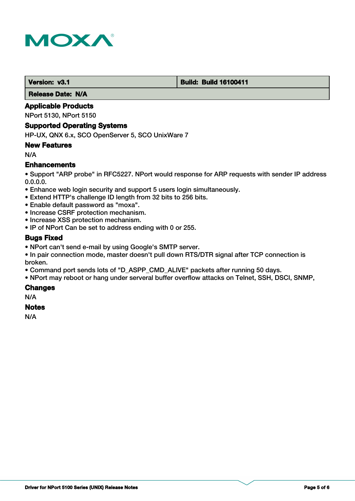

#### **Version: v3.1 Build: Build: Build 16100411**

 **Release Date: N/A**

# **Applicable Products**

NPort 5130, NPort 5150

#### **Supported Operating Systems**

HP-UX, QNX 6.x, SCO OpenServer 5, SCO UnixWare 7

#### **New Features**

N/A

# **Enhancements**

• Support "ARP probe" in RFC5227. NPort would response for ARP requests with sender IP address 0.0.0.0.

- Enhance web login security and support 5 users login simultaneously.
- Extend HTTP's challenge ID length from 32 bits to 256 bits.
- Enable default password as "moxa".
- Increase CSRF protection mechanism.
- Increase XSS protection mechanism.
- IP of NPort Can be set to address ending with 0 or 255.

# **Bugs Fixed**

- NPort can't send e-mail by using Google's SMTP server.
- In pair connection mode, master doesn't pull down RTS/DTR signal after TCP connection is broken.
- Command port sends lots of "D\_ASPP\_CMD\_ALIVE" packets after running 50 days.
- NPort may reboot or hang under serveral buffer overflow attacks on Telnet, SSH, DSCI, SNMP,

# **Changes**

N/A

## **Notes**

N/A